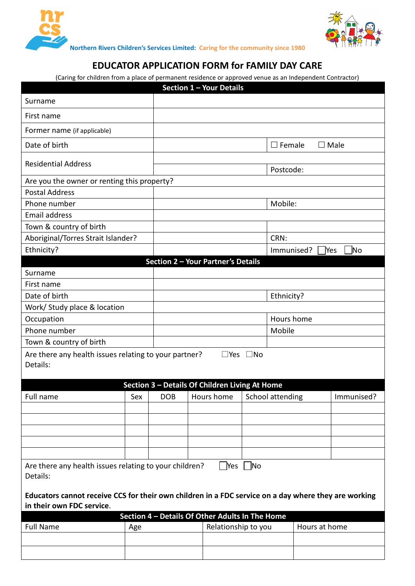



**Northern Rivers Children's Services Limited: Caring for the community since 1980**

## **EDUCATOR APPLICATION FORM for FAMILY DAY CARE**

(Caring for children from a place of permanent residence or approved venue as an Independent Contractor)

|                                                                                                                                   |     |            | Section 1 - Your Details           |                            |                                            |               |             |
|-----------------------------------------------------------------------------------------------------------------------------------|-----|------------|------------------------------------|----------------------------|--------------------------------------------|---------------|-------------|
| Surname                                                                                                                           |     |            |                                    |                            |                                            |               |             |
| First name                                                                                                                        |     |            |                                    |                            |                                            |               |             |
| Former name (if applicable)                                                                                                       |     |            |                                    |                            |                                            |               |             |
| Date of birth                                                                                                                     |     |            |                                    |                            | $\square$ Female                           |               | $\Box$ Male |
| <b>Residential Address</b>                                                                                                        |     |            |                                    |                            |                                            |               |             |
| Are you the owner or renting this property?                                                                                       |     |            |                                    |                            | Postcode:                                  |               |             |
| <b>Postal Address</b>                                                                                                             |     |            |                                    |                            |                                            |               |             |
| Phone number                                                                                                                      |     |            |                                    |                            | Mobile:                                    |               |             |
| <b>Email address</b>                                                                                                              |     |            |                                    |                            |                                            |               |             |
|                                                                                                                                   |     |            |                                    |                            |                                            |               |             |
| Town & country of birth<br>Aboriginal/Torres Strait Islander?                                                                     |     |            |                                    |                            | CRN:                                       |               |             |
| Ethnicity?                                                                                                                        |     |            |                                    |                            | N <sub>o</sub><br>Immunised?<br><b>Yes</b> |               |             |
|                                                                                                                                   |     |            | Section 2 - Your Partner's Details |                            |                                            |               |             |
| Surname                                                                                                                           |     |            |                                    |                            |                                            |               |             |
| First name                                                                                                                        |     |            |                                    |                            |                                            |               |             |
| Date of birth                                                                                                                     |     |            |                                    |                            |                                            |               |             |
|                                                                                                                                   |     |            |                                    | Ethnicity?                 |                                            |               |             |
| Work/ Study place & location                                                                                                      |     |            |                                    |                            |                                            |               |             |
| Occupation                                                                                                                        |     |            | Hours home                         |                            |                                            |               |             |
| Phone number                                                                                                                      |     |            |                                    | Mobile                     |                                            |               |             |
| Town & country of birth                                                                                                           |     |            |                                    |                            |                                            |               |             |
| Are there any health issues relating to your partner?<br>Details:                                                                 |     |            |                                    | $\square$ Yes $\square$ No |                                            |               |             |
| Section 3 - Details Of Children Living At Home                                                                                    |     |            |                                    |                            |                                            |               |             |
| Full name                                                                                                                         | Sex | <b>DOB</b> | Hours home                         |                            | School attending                           |               | Immunised?  |
|                                                                                                                                   |     |            |                                    |                            |                                            |               |             |
|                                                                                                                                   |     |            |                                    |                            |                                            |               |             |
|                                                                                                                                   |     |            |                                    |                            |                                            |               |             |
|                                                                                                                                   |     |            |                                    |                            |                                            |               |             |
|                                                                                                                                   |     |            |                                    |                            |                                            |               |             |
| Yes ∏No<br>Are there any health issues relating to your children?<br>Details:                                                     |     |            |                                    |                            |                                            |               |             |
| Educators cannot receive CCS for their own children in a FDC service on a day where they are working<br>in their own FDC service. |     |            |                                    |                            |                                            |               |             |
| Section 4 - Details Of Other Adults In The Home                                                                                   |     |            |                                    |                            |                                            |               |             |
| <b>Full Name</b>                                                                                                                  | Age |            |                                    | Relationship to you        |                                            | Hours at home |             |
|                                                                                                                                   |     |            |                                    |                            |                                            |               |             |
|                                                                                                                                   |     |            |                                    |                            |                                            |               |             |
|                                                                                                                                   |     |            |                                    |                            |                                            |               |             |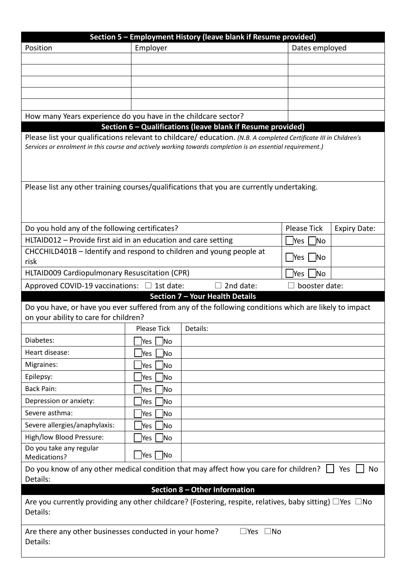| Section 5 - Employment History (leave blank if Resume provided)                                                                                                                                                                |                       |                                                             |                              |                     |  |  |  |
|--------------------------------------------------------------------------------------------------------------------------------------------------------------------------------------------------------------------------------|-----------------------|-------------------------------------------------------------|------------------------------|---------------------|--|--|--|
| Position                                                                                                                                                                                                                       | Employer              |                                                             | Dates employed               |                     |  |  |  |
|                                                                                                                                                                                                                                |                       |                                                             |                              |                     |  |  |  |
|                                                                                                                                                                                                                                |                       |                                                             |                              |                     |  |  |  |
|                                                                                                                                                                                                                                |                       |                                                             |                              |                     |  |  |  |
|                                                                                                                                                                                                                                |                       |                                                             |                              |                     |  |  |  |
|                                                                                                                                                                                                                                |                       |                                                             |                              |                     |  |  |  |
| How many Years experience do you have in the childcare sector?                                                                                                                                                                 |                       |                                                             |                              |                     |  |  |  |
|                                                                                                                                                                                                                                |                       | Section 6 - Qualifications (leave blank if Resume provided) |                              |                     |  |  |  |
| Please list your qualifications relevant to childcare/education. (N.B. A completed Certificate III in Children's<br>Services or enrolment in this course and actively working towards completion is an essential requirement.) |                       |                                                             |                              |                     |  |  |  |
|                                                                                                                                                                                                                                |                       |                                                             |                              |                     |  |  |  |
| Please list any other training courses/qualifications that you are currently undertaking.                                                                                                                                      |                       |                                                             |                              |                     |  |  |  |
|                                                                                                                                                                                                                                |                       |                                                             |                              |                     |  |  |  |
|                                                                                                                                                                                                                                |                       |                                                             |                              |                     |  |  |  |
|                                                                                                                                                                                                                                |                       |                                                             |                              |                     |  |  |  |
| Do you hold any of the following certificates?                                                                                                                                                                                 |                       |                                                             | <b>Please Tick</b>           | <b>Expiry Date:</b> |  |  |  |
| HLTAID012 - Provide first aid in an education and care setting                                                                                                                                                                 |                       |                                                             | <b>Yes</b><br>N <sub>o</sub> |                     |  |  |  |
| CHCCHILD401B - Identify and respond to children and young people at<br>risk                                                                                                                                                    | Yes   No              |                                                             |                              |                     |  |  |  |
| HLTAID009 Cardiopulmonary Resuscitation (CPR)                                                                                                                                                                                  |                       |                                                             | Yes<br><b>No</b>             |                     |  |  |  |
| Approved COVID-19 vaccinations: $\Box$ 1st date:                                                                                                                                                                               |                       | 2nd date:                                                   | booster date:                |                     |  |  |  |
|                                                                                                                                                                                                                                |                       | Section 7 - Your Health Details                             |                              |                     |  |  |  |
| Do you have, or have you ever suffered from any of the following conditions which are likely to impact<br>on your ability to care for children?                                                                                |                       |                                                             |                              |                     |  |  |  |
|                                                                                                                                                                                                                                | <b>Please Tick</b>    | Details:                                                    |                              |                     |  |  |  |
| Diabetes:                                                                                                                                                                                                                      | ]Yes ∐No              |                                                             |                              |                     |  |  |  |
| Heart disease:                                                                                                                                                                                                                 | Yes<br>No             |                                                             |                              |                     |  |  |  |
| Migraines:                                                                                                                                                                                                                     | No<br>Yes             |                                                             |                              |                     |  |  |  |
| Epilepsy:                                                                                                                                                                                                                      | No<br>Yes             |                                                             |                              |                     |  |  |  |
| <b>Back Pain:</b>                                                                                                                                                                                                              | No<br>Yes             |                                                             |                              |                     |  |  |  |
| Depression or anxiety:                                                                                                                                                                                                         | <b>No</b><br>Yes      |                                                             |                              |                     |  |  |  |
| Severe asthma:                                                                                                                                                                                                                 | Yes<br><b>No</b>      |                                                             |                              |                     |  |  |  |
| Severe allergies/anaphylaxis:                                                                                                                                                                                                  | <b>No</b><br> Yes     |                                                             |                              |                     |  |  |  |
| High/low Blood Pressure:                                                                                                                                                                                                       |                       |                                                             |                              |                     |  |  |  |
| Do you take any regular                                                                                                                                                                                                        | N <sub>o</sub><br>Yes |                                                             |                              |                     |  |  |  |
| Medications?                                                                                                                                                                                                                   | Yes    No             |                                                             |                              |                     |  |  |  |
| Do you know of any other medical condition that may affect how you care for children? $\Box$ Yes<br>No<br>Details:                                                                                                             |                       |                                                             |                              |                     |  |  |  |
| Section 8 - Other Information                                                                                                                                                                                                  |                       |                                                             |                              |                     |  |  |  |
| Are you currently providing any other childcare? (Fostering, respite, relatives, baby sitting) $\Box$ Yes $\Box$ No<br>Details:                                                                                                |                       |                                                             |                              |                     |  |  |  |
| Are there any other businesses conducted in your home?<br>$\square$ Yes $\square$ No<br>Details:                                                                                                                               |                       |                                                             |                              |                     |  |  |  |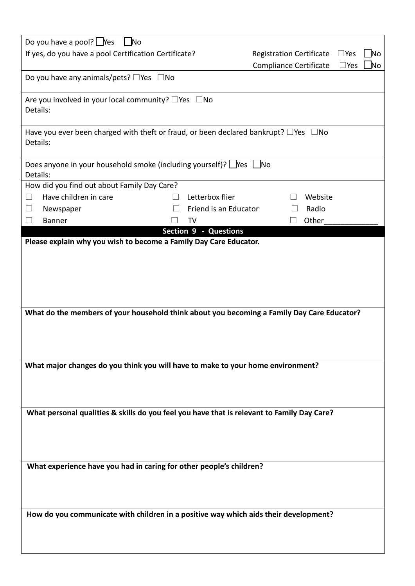| Do you have a pool? $\Box$ Yes<br>  No                                                                                                                                        |                                                        |                     |  |  |  |  |
|-------------------------------------------------------------------------------------------------------------------------------------------------------------------------------|--------------------------------------------------------|---------------------|--|--|--|--|
| If yes, do you have a pool Certification Certificate?                                                                                                                         | <b>Registration Certificate</b><br>$\square$ Yes<br>No |                     |  |  |  |  |
|                                                                                                                                                                               | Compliance Certificate                                 | No<br>$\square$ Yes |  |  |  |  |
| Do you have any animals/pets? $\Box$ Yes $\Box$ No                                                                                                                            |                                                        |                     |  |  |  |  |
| Are you involved in your local community? $\square$ Yes $\square$ No<br>Details:                                                                                              |                                                        |                     |  |  |  |  |
| Have you ever been charged with theft or fraud, or been declared bankrupt? $\square$ Yes $\square$ No<br>Details:                                                             |                                                        |                     |  |  |  |  |
| Does anyone in your household smoke (including yourself)? $\Box$ Yes $\Box$ No<br>Details:                                                                                    |                                                        |                     |  |  |  |  |
| How did you find out about Family Day Care?                                                                                                                                   |                                                        |                     |  |  |  |  |
| Have children in care<br>П                                                                                                                                                    | Letterbox flier                                        | Website             |  |  |  |  |
| ⊔<br>Newspaper                                                                                                                                                                | Friend is an Educator                                  | Radio               |  |  |  |  |
| П<br><b>Banner</b>                                                                                                                                                            | TV                                                     | Other               |  |  |  |  |
|                                                                                                                                                                               | Section 9 - Questions                                  |                     |  |  |  |  |
| What do the members of your household think about you becoming a Family Day Care Educator?<br>What major changes do you think you will have to make to your home environment? |                                                        |                     |  |  |  |  |
| What personal qualities & skills do you feel you have that is relevant to Family Day Care?                                                                                    |                                                        |                     |  |  |  |  |
| What experience have you had in caring for other people's children?                                                                                                           |                                                        |                     |  |  |  |  |
| How do you communicate with children in a positive way which aids their development?                                                                                          |                                                        |                     |  |  |  |  |